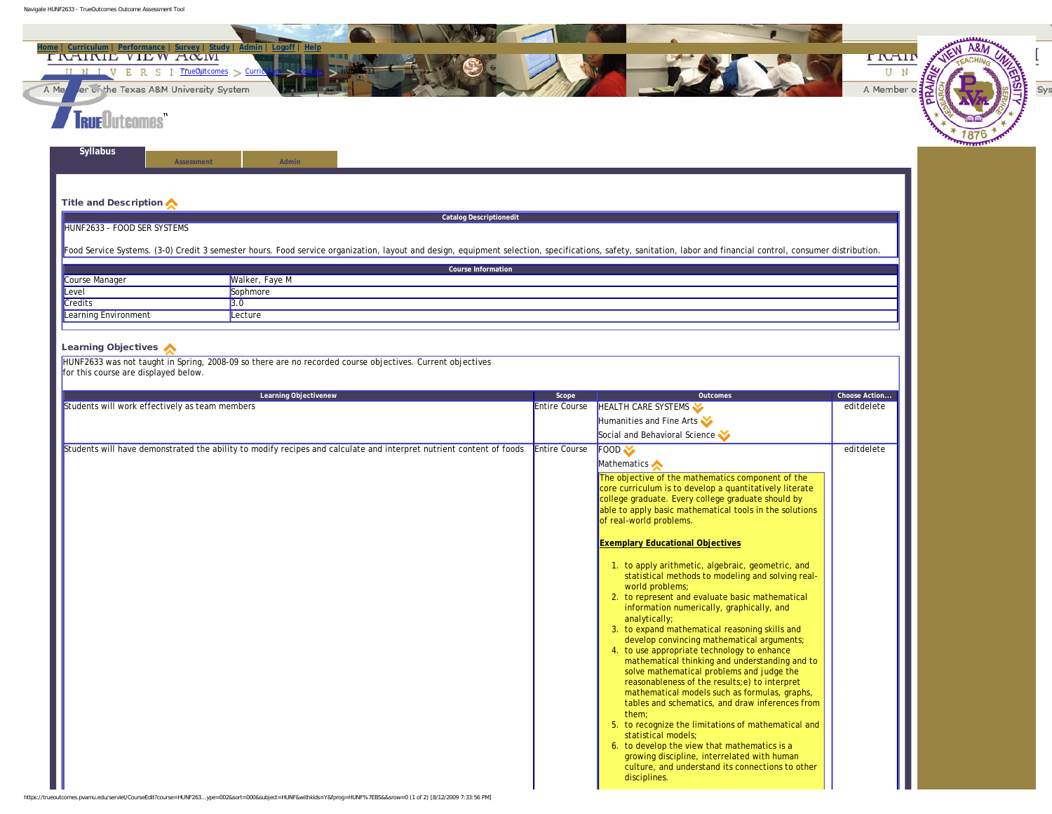Navigate HUNF2633 - TrueOutcomes Outcome Assessment Tool